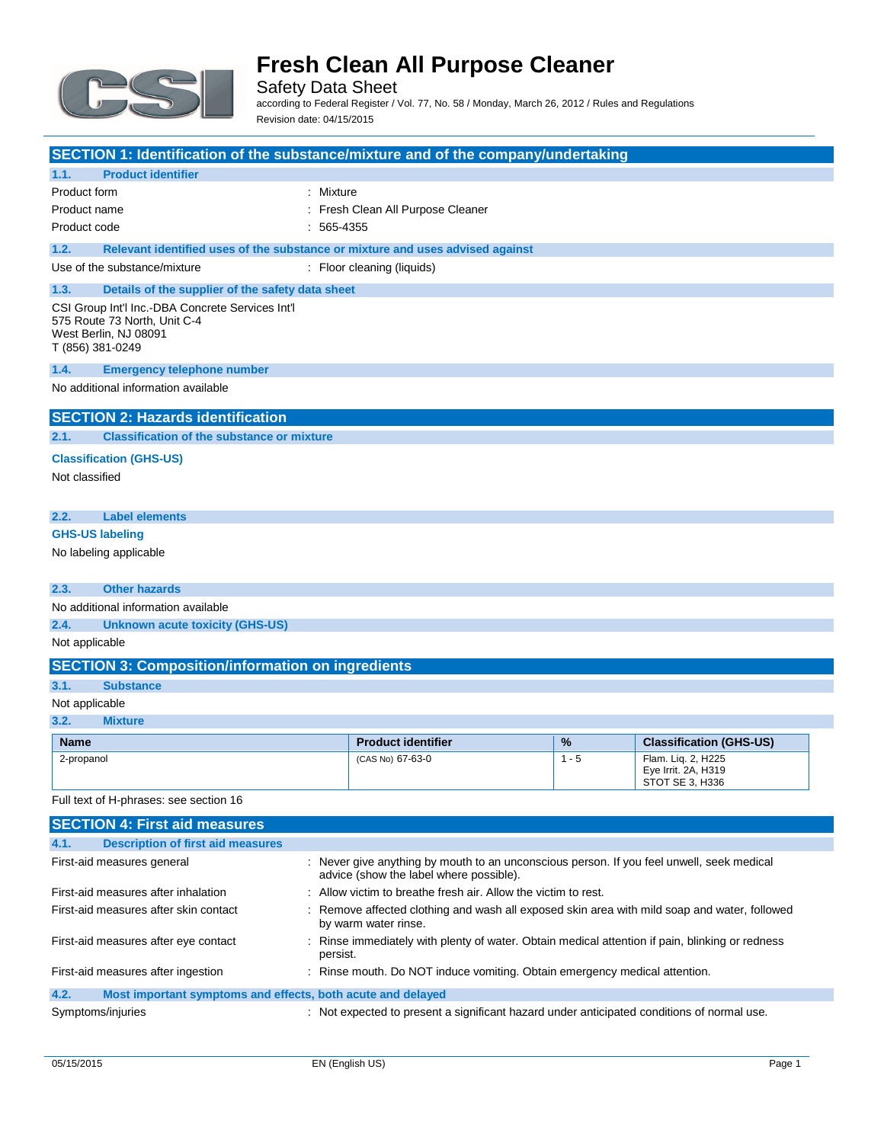

Safety Data Sheet according to Federal Register / Vol. 77, No. 58 / Monday, March 26, 2012 / Rules and Regulations

Revision date: 04/15/2015

| SECTION 1: Identification of the substance/mixture and of the company/undertaking                                             |              |                                                                               |         |                                                                                                 |
|-------------------------------------------------------------------------------------------------------------------------------|--------------|-------------------------------------------------------------------------------|---------|-------------------------------------------------------------------------------------------------|
| <b>Product identifier</b><br>1.1.                                                                                             |              |                                                                               |         |                                                                                                 |
| Product form                                                                                                                  | : Mixture    |                                                                               |         |                                                                                                 |
| Product name                                                                                                                  |              | : Fresh Clean All Purpose Cleaner                                             |         |                                                                                                 |
| Product code                                                                                                                  | $: 565-4355$ |                                                                               |         |                                                                                                 |
| 1.2.                                                                                                                          |              | Relevant identified uses of the substance or mixture and uses advised against |         |                                                                                                 |
| Use of the substance/mixture                                                                                                  |              | : Floor cleaning (liquids)                                                    |         |                                                                                                 |
| 1.3.<br>Details of the supplier of the safety data sheet                                                                      |              |                                                                               |         |                                                                                                 |
| CSI Group Int'l Inc.-DBA Concrete Services Int'l<br>575 Route 73 North, Unit C-4<br>West Berlin, NJ 08091<br>T (856) 381-0249 |              |                                                                               |         |                                                                                                 |
| 1.4.<br><b>Emergency telephone number</b>                                                                                     |              |                                                                               |         |                                                                                                 |
| No additional information available                                                                                           |              |                                                                               |         |                                                                                                 |
| <b>SECTION 2: Hazards identification</b>                                                                                      |              |                                                                               |         |                                                                                                 |
| <b>Classification of the substance or mixture</b><br>2.1.                                                                     |              |                                                                               |         |                                                                                                 |
| <b>Classification (GHS-US)</b>                                                                                                |              |                                                                               |         |                                                                                                 |
| Not classified                                                                                                                |              |                                                                               |         |                                                                                                 |
|                                                                                                                               |              |                                                                               |         |                                                                                                 |
| <b>Label elements</b><br>2.2.                                                                                                 |              |                                                                               |         |                                                                                                 |
| <b>GHS-US labeling</b>                                                                                                        |              |                                                                               |         |                                                                                                 |
| No labeling applicable                                                                                                        |              |                                                                               |         |                                                                                                 |
|                                                                                                                               |              |                                                                               |         |                                                                                                 |
| <b>Other hazards</b><br>2.3.                                                                                                  |              |                                                                               |         |                                                                                                 |
| No additional information available                                                                                           |              |                                                                               |         |                                                                                                 |
| 2.4.<br><b>Unknown acute toxicity (GHS-US)</b>                                                                                |              |                                                                               |         |                                                                                                 |
| Not applicable                                                                                                                |              |                                                                               |         |                                                                                                 |
| <b>SECTION 3: Composition/information on ingredients</b>                                                                      |              |                                                                               |         |                                                                                                 |
| 3.1.<br><b>Substance</b>                                                                                                      |              |                                                                               |         |                                                                                                 |
| Not applicable                                                                                                                |              |                                                                               |         |                                                                                                 |
| 3.2.<br><b>Mixture</b>                                                                                                        |              |                                                                               |         |                                                                                                 |
| <b>Name</b>                                                                                                                   |              | <b>Product identifier</b>                                                     | %       | <b>Classification (GHS-US)</b>                                                                  |
| 2-propanol                                                                                                                    |              | (CAS No) 67-63-0                                                              | $1 - 5$ | Flam. Lig. 2. H225<br>Eye Irrit. 2A, H319<br>STOT SE 3, H336                                    |
| Full text of H-phrases: see section 16                                                                                        |              |                                                                               |         |                                                                                                 |
| <b>SECTION 4: First aid measures</b>                                                                                          |              |                                                                               |         |                                                                                                 |
| 4.1.<br><b>Description of first aid measures</b>                                                                              |              |                                                                               |         |                                                                                                 |
| First-aid measures general                                                                                                    |              | advice (show the label where possible).                                       |         | : Never give anything by mouth to an unconscious person. If you feel unwell, seek medical       |
| First-aid measures after inhalation                                                                                           |              | Allow victim to breathe fresh air. Allow the victim to rest.                  |         |                                                                                                 |
| First-aid measures after skin contact                                                                                         |              | by warm water rinse.                                                          |         | Remove affected clothing and wash all exposed skin area with mild soap and water, followed      |
| First-aid measures after eye contact                                                                                          |              |                                                                               |         | : Rinse immediately with plenty of water. Obtain medical attention if pain, blinking or redness |

First-aid measures after ingestion : Rinse mouth. Do NOT induce vomiting. Obtain emergency medical attention.

Symptoms/injuries **interpretent in the symptoms** of the symptoms/injuries interpretent a significant hazard under anticipated conditions of normal use.

persist.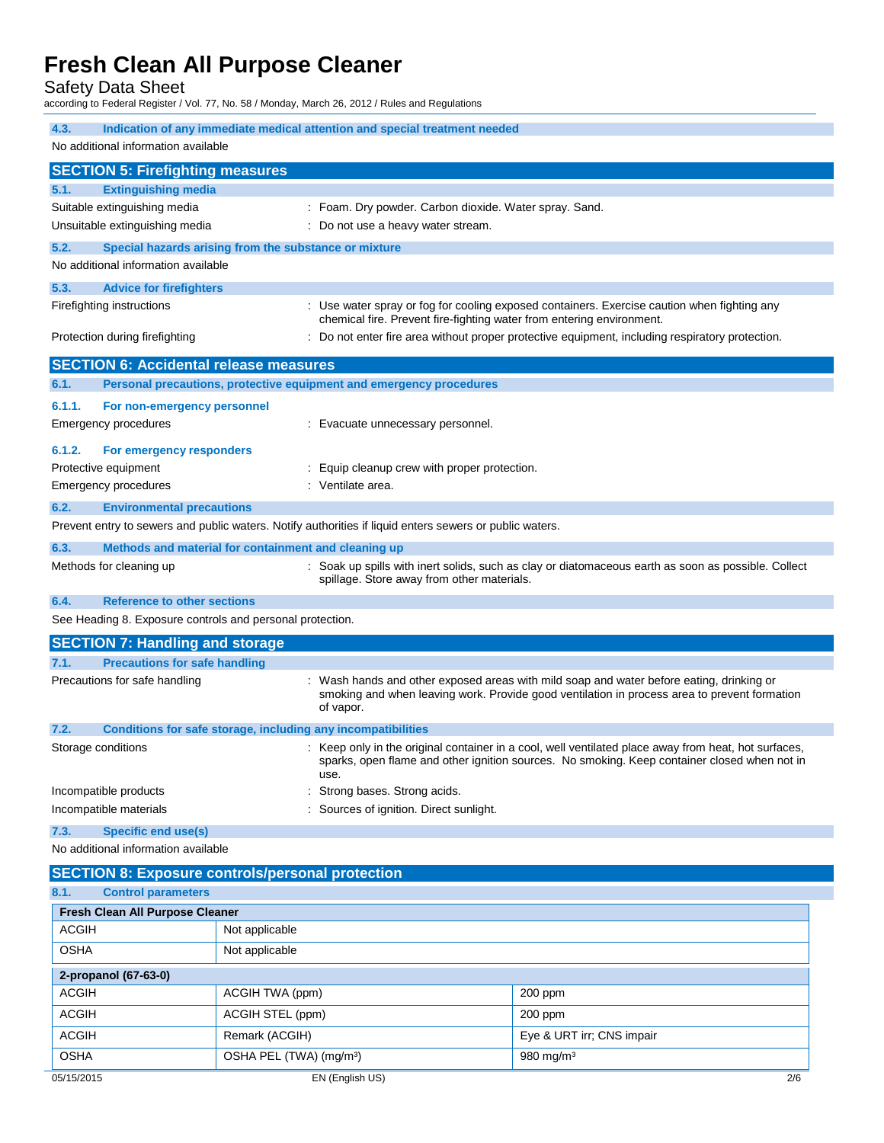Safety Data Sheet

according to Federal Register / Vol. 77, No. 58 / Monday, March 26, 2012 / Rules and Regulations

| 4.3.                                                      | Indication of any immediate medical attention and special treatment needed                              |                                                                                                                                                                                                      |  |
|-----------------------------------------------------------|---------------------------------------------------------------------------------------------------------|------------------------------------------------------------------------------------------------------------------------------------------------------------------------------------------------------|--|
| No additional information available                       |                                                                                                         |                                                                                                                                                                                                      |  |
| <b>SECTION 5: Firefighting measures</b>                   |                                                                                                         |                                                                                                                                                                                                      |  |
| <b>Extinguishing media</b><br>5.1.                        |                                                                                                         |                                                                                                                                                                                                      |  |
| Suitable extinguishing media                              |                                                                                                         | : Foam. Dry powder. Carbon dioxide. Water spray. Sand.                                                                                                                                               |  |
| Unsuitable extinguishing media                            | : Do not use a heavy water stream.                                                                      |                                                                                                                                                                                                      |  |
| 5.2.                                                      | Special hazards arising from the substance or mixture                                                   |                                                                                                                                                                                                      |  |
| No additional information available                       |                                                                                                         |                                                                                                                                                                                                      |  |
| 5.3.<br><b>Advice for firefighters</b>                    |                                                                                                         |                                                                                                                                                                                                      |  |
| Firefighting instructions                                 |                                                                                                         | : Use water spray or fog for cooling exposed containers. Exercise caution when fighting any                                                                                                          |  |
|                                                           |                                                                                                         | chemical fire. Prevent fire-fighting water from entering environment.                                                                                                                                |  |
| Protection during firefighting                            |                                                                                                         | : Do not enter fire area without proper protective equipment, including respiratory protection.                                                                                                      |  |
| <b>SECTION 6: Accidental release measures</b>             |                                                                                                         |                                                                                                                                                                                                      |  |
| 6.1.                                                      | Personal precautions, protective equipment and emergency procedures                                     |                                                                                                                                                                                                      |  |
| 6.1.1.<br>For non-emergency personnel                     |                                                                                                         |                                                                                                                                                                                                      |  |
| Emergency procedures                                      | : Evacuate unnecessary personnel.                                                                       |                                                                                                                                                                                                      |  |
| 6.1.2.<br>For emergency responders                        |                                                                                                         |                                                                                                                                                                                                      |  |
| Protective equipment                                      | Equip cleanup crew with proper protection.                                                              |                                                                                                                                                                                                      |  |
| Emergency procedures                                      | : Ventilate area.                                                                                       |                                                                                                                                                                                                      |  |
| 6.2.<br><b>Environmental precautions</b>                  |                                                                                                         |                                                                                                                                                                                                      |  |
|                                                           | Prevent entry to sewers and public waters. Notify authorities if liquid enters sewers or public waters. |                                                                                                                                                                                                      |  |
| 6.3.                                                      | Methods and material for containment and cleaning up                                                    |                                                                                                                                                                                                      |  |
| Methods for cleaning up                                   |                                                                                                         | : Soak up spills with inert solids, such as clay or diatomaceous earth as soon as possible. Collect                                                                                                  |  |
|                                                           | spillage. Store away from other materials.                                                              |                                                                                                                                                                                                      |  |
| 6.4.<br><b>Reference to other sections</b>                |                                                                                                         |                                                                                                                                                                                                      |  |
| See Heading 8. Exposure controls and personal protection. |                                                                                                         |                                                                                                                                                                                                      |  |
| <b>SECTION 7: Handling and storage</b>                    |                                                                                                         |                                                                                                                                                                                                      |  |
| <b>Precautions for safe handling</b><br>7.1.              |                                                                                                         |                                                                                                                                                                                                      |  |
| Precautions for safe handling                             | of vapor.                                                                                               | Wash hands and other exposed areas with mild soap and water before eating, drinking or<br>smoking and when leaving work. Provide good ventilation in process area to prevent formation               |  |
| 7.2.                                                      | Conditions for safe storage, including any incompatibilities                                            |                                                                                                                                                                                                      |  |
| Storage conditions                                        | use.                                                                                                    | : Keep only in the original container in a cool, well ventilated place away from heat, hot surfaces,<br>sparks, open flame and other ignition sources. No smoking. Keep container closed when not in |  |
| Incompatible products                                     |                                                                                                         | Strong bases. Strong acids.                                                                                                                                                                          |  |
| Incompatible materials                                    | Sources of ignition. Direct sunlight.                                                                   |                                                                                                                                                                                                      |  |
| <b>Specific end use(s)</b><br>7.3.                        |                                                                                                         |                                                                                                                                                                                                      |  |
| No additional information available                       |                                                                                                         |                                                                                                                                                                                                      |  |
| <b>SECTION 8: Exposure controls/personal protection</b>   |                                                                                                         |                                                                                                                                                                                                      |  |
| 8.1.<br><b>Control parameters</b>                         |                                                                                                         |                                                                                                                                                                                                      |  |
| Fresh Clean All Purpose Cleaner                           |                                                                                                         |                                                                                                                                                                                                      |  |
| <b>ACGIH</b><br>Not applicable                            |                                                                                                         |                                                                                                                                                                                                      |  |
| OSHA<br>Not applicable                                    |                                                                                                         |                                                                                                                                                                                                      |  |
| 2-propanol (67-63-0)                                      |                                                                                                         |                                                                                                                                                                                                      |  |
| <b>ACGIH</b>                                              | ACGIH TWA (ppm)                                                                                         | 200 ppm                                                                                                                                                                                              |  |
| <b>ACGIH</b>                                              | ACGIH STEL (ppm)                                                                                        | 200 ppm                                                                                                                                                                                              |  |
| <b>ACGIH</b>                                              | Remark (ACGIH)                                                                                          | Eye & URT irr; CNS impair                                                                                                                                                                            |  |
| <b>OSHA</b>                                               | OSHA PEL (TWA) (mg/m <sup>3</sup> )                                                                     | 980 mg/m <sup>3</sup>                                                                                                                                                                                |  |
|                                                           |                                                                                                         |                                                                                                                                                                                                      |  |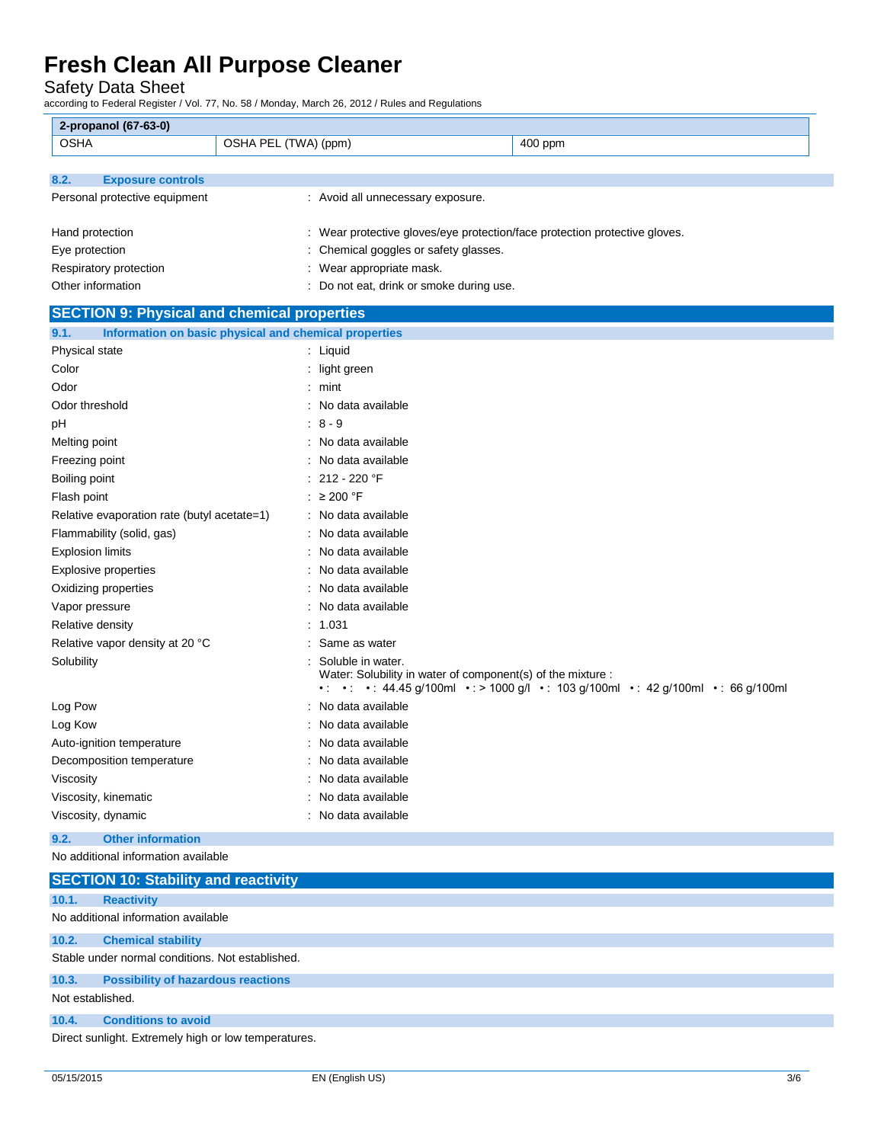Safety Data Sheet

according to Federal Register / Vol. 77, No. 58 / Monday, March 26, 2012 / Rules and Regulations

| <b>OSHA</b><br>OSHA PEL (TWA) (ppm)<br>400 ppm<br><b>Exposure controls</b><br>8.2.<br>Personal protective equipment<br>: Avoid all unnecessary exposure.<br>: Wear protective gloves/eye protection/face protection protective gloves.<br>Hand protection<br>Eye protection<br>: Chemical goggles or safety glasses.<br>Respiratory protection<br>: Wear appropriate mask.<br>Other information<br>: Do not eat, drink or smoke during use.<br><b>SECTION 9: Physical and chemical properties</b><br>Information on basic physical and chemical properties<br>9.1.<br>Physical state<br>: Liquid<br>Color<br>: light green<br>Odor<br>$:$ mint<br>Odor threshold<br>No data available<br>$: 8 - 9$<br>рH<br>: No data available<br>Melting point<br>Freezing point<br>: No data available<br>: 212 - 220 $\degree$ F<br>Boiling point<br>: ≥ 200 °F<br>Flash point<br>Relative evaporation rate (butyl acetate=1)<br>: No data available<br>Flammability (solid, gas)<br>: No data available<br>No data available<br><b>Explosion limits</b><br>: No data available<br><b>Explosive properties</b><br>Oxidizing properties<br>: No data available<br>: No data available<br>Vapor pressure<br>: 1.031<br>Relative density<br>Relative vapor density at 20 °C<br>Same as water<br>Solubility<br>Soluble in water.<br>Water: Solubility in water of component(s) of the mixture :<br>• • • • 44.45 g/100ml • : > 1000 g/l • 103 g/100ml • : 42 g/100ml • : 66 g/100ml<br>Log Pow<br>No data available<br>Log Kow<br>No data available<br>: No data available<br>Auto-ignition temperature<br>: No data available<br>Decomposition temperature<br>Viscosity<br>: No data available<br>No data available<br>Viscosity, kinematic<br>: No data available<br>Viscosity, dynamic | 2-propanol (67-63-0) |  |
|---------------------------------------------------------------------------------------------------------------------------------------------------------------------------------------------------------------------------------------------------------------------------------------------------------------------------------------------------------------------------------------------------------------------------------------------------------------------------------------------------------------------------------------------------------------------------------------------------------------------------------------------------------------------------------------------------------------------------------------------------------------------------------------------------------------------------------------------------------------------------------------------------------------------------------------------------------------------------------------------------------------------------------------------------------------------------------------------------------------------------------------------------------------------------------------------------------------------------------------------------------------------------------------------------------------------------------------------------------------------------------------------------------------------------------------------------------------------------------------------------------------------------------------------------------------------------------------------------------------------------------------------------------------------------------------------------------------------------------------------------------------------------|----------------------|--|
|                                                                                                                                                                                                                                                                                                                                                                                                                                                                                                                                                                                                                                                                                                                                                                                                                                                                                                                                                                                                                                                                                                                                                                                                                                                                                                                                                                                                                                                                                                                                                                                                                                                                                                                                                                           |                      |  |
|                                                                                                                                                                                                                                                                                                                                                                                                                                                                                                                                                                                                                                                                                                                                                                                                                                                                                                                                                                                                                                                                                                                                                                                                                                                                                                                                                                                                                                                                                                                                                                                                                                                                                                                                                                           |                      |  |
|                                                                                                                                                                                                                                                                                                                                                                                                                                                                                                                                                                                                                                                                                                                                                                                                                                                                                                                                                                                                                                                                                                                                                                                                                                                                                                                                                                                                                                                                                                                                                                                                                                                                                                                                                                           |                      |  |
|                                                                                                                                                                                                                                                                                                                                                                                                                                                                                                                                                                                                                                                                                                                                                                                                                                                                                                                                                                                                                                                                                                                                                                                                                                                                                                                                                                                                                                                                                                                                                                                                                                                                                                                                                                           |                      |  |
|                                                                                                                                                                                                                                                                                                                                                                                                                                                                                                                                                                                                                                                                                                                                                                                                                                                                                                                                                                                                                                                                                                                                                                                                                                                                                                                                                                                                                                                                                                                                                                                                                                                                                                                                                                           |                      |  |
|                                                                                                                                                                                                                                                                                                                                                                                                                                                                                                                                                                                                                                                                                                                                                                                                                                                                                                                                                                                                                                                                                                                                                                                                                                                                                                                                                                                                                                                                                                                                                                                                                                                                                                                                                                           |                      |  |
|                                                                                                                                                                                                                                                                                                                                                                                                                                                                                                                                                                                                                                                                                                                                                                                                                                                                                                                                                                                                                                                                                                                                                                                                                                                                                                                                                                                                                                                                                                                                                                                                                                                                                                                                                                           |                      |  |
|                                                                                                                                                                                                                                                                                                                                                                                                                                                                                                                                                                                                                                                                                                                                                                                                                                                                                                                                                                                                                                                                                                                                                                                                                                                                                                                                                                                                                                                                                                                                                                                                                                                                                                                                                                           |                      |  |
|                                                                                                                                                                                                                                                                                                                                                                                                                                                                                                                                                                                                                                                                                                                                                                                                                                                                                                                                                                                                                                                                                                                                                                                                                                                                                                                                                                                                                                                                                                                                                                                                                                                                                                                                                                           |                      |  |
|                                                                                                                                                                                                                                                                                                                                                                                                                                                                                                                                                                                                                                                                                                                                                                                                                                                                                                                                                                                                                                                                                                                                                                                                                                                                                                                                                                                                                                                                                                                                                                                                                                                                                                                                                                           |                      |  |
|                                                                                                                                                                                                                                                                                                                                                                                                                                                                                                                                                                                                                                                                                                                                                                                                                                                                                                                                                                                                                                                                                                                                                                                                                                                                                                                                                                                                                                                                                                                                                                                                                                                                                                                                                                           |                      |  |
|                                                                                                                                                                                                                                                                                                                                                                                                                                                                                                                                                                                                                                                                                                                                                                                                                                                                                                                                                                                                                                                                                                                                                                                                                                                                                                                                                                                                                                                                                                                                                                                                                                                                                                                                                                           |                      |  |
|                                                                                                                                                                                                                                                                                                                                                                                                                                                                                                                                                                                                                                                                                                                                                                                                                                                                                                                                                                                                                                                                                                                                                                                                                                                                                                                                                                                                                                                                                                                                                                                                                                                                                                                                                                           |                      |  |
|                                                                                                                                                                                                                                                                                                                                                                                                                                                                                                                                                                                                                                                                                                                                                                                                                                                                                                                                                                                                                                                                                                                                                                                                                                                                                                                                                                                                                                                                                                                                                                                                                                                                                                                                                                           |                      |  |
|                                                                                                                                                                                                                                                                                                                                                                                                                                                                                                                                                                                                                                                                                                                                                                                                                                                                                                                                                                                                                                                                                                                                                                                                                                                                                                                                                                                                                                                                                                                                                                                                                                                                                                                                                                           |                      |  |
|                                                                                                                                                                                                                                                                                                                                                                                                                                                                                                                                                                                                                                                                                                                                                                                                                                                                                                                                                                                                                                                                                                                                                                                                                                                                                                                                                                                                                                                                                                                                                                                                                                                                                                                                                                           |                      |  |
|                                                                                                                                                                                                                                                                                                                                                                                                                                                                                                                                                                                                                                                                                                                                                                                                                                                                                                                                                                                                                                                                                                                                                                                                                                                                                                                                                                                                                                                                                                                                                                                                                                                                                                                                                                           |                      |  |
|                                                                                                                                                                                                                                                                                                                                                                                                                                                                                                                                                                                                                                                                                                                                                                                                                                                                                                                                                                                                                                                                                                                                                                                                                                                                                                                                                                                                                                                                                                                                                                                                                                                                                                                                                                           |                      |  |
|                                                                                                                                                                                                                                                                                                                                                                                                                                                                                                                                                                                                                                                                                                                                                                                                                                                                                                                                                                                                                                                                                                                                                                                                                                                                                                                                                                                                                                                                                                                                                                                                                                                                                                                                                                           |                      |  |
|                                                                                                                                                                                                                                                                                                                                                                                                                                                                                                                                                                                                                                                                                                                                                                                                                                                                                                                                                                                                                                                                                                                                                                                                                                                                                                                                                                                                                                                                                                                                                                                                                                                                                                                                                                           |                      |  |
|                                                                                                                                                                                                                                                                                                                                                                                                                                                                                                                                                                                                                                                                                                                                                                                                                                                                                                                                                                                                                                                                                                                                                                                                                                                                                                                                                                                                                                                                                                                                                                                                                                                                                                                                                                           |                      |  |
|                                                                                                                                                                                                                                                                                                                                                                                                                                                                                                                                                                                                                                                                                                                                                                                                                                                                                                                                                                                                                                                                                                                                                                                                                                                                                                                                                                                                                                                                                                                                                                                                                                                                                                                                                                           |                      |  |
|                                                                                                                                                                                                                                                                                                                                                                                                                                                                                                                                                                                                                                                                                                                                                                                                                                                                                                                                                                                                                                                                                                                                                                                                                                                                                                                                                                                                                                                                                                                                                                                                                                                                                                                                                                           |                      |  |
|                                                                                                                                                                                                                                                                                                                                                                                                                                                                                                                                                                                                                                                                                                                                                                                                                                                                                                                                                                                                                                                                                                                                                                                                                                                                                                                                                                                                                                                                                                                                                                                                                                                                                                                                                                           |                      |  |
|                                                                                                                                                                                                                                                                                                                                                                                                                                                                                                                                                                                                                                                                                                                                                                                                                                                                                                                                                                                                                                                                                                                                                                                                                                                                                                                                                                                                                                                                                                                                                                                                                                                                                                                                                                           |                      |  |
|                                                                                                                                                                                                                                                                                                                                                                                                                                                                                                                                                                                                                                                                                                                                                                                                                                                                                                                                                                                                                                                                                                                                                                                                                                                                                                                                                                                                                                                                                                                                                                                                                                                                                                                                                                           |                      |  |
|                                                                                                                                                                                                                                                                                                                                                                                                                                                                                                                                                                                                                                                                                                                                                                                                                                                                                                                                                                                                                                                                                                                                                                                                                                                                                                                                                                                                                                                                                                                                                                                                                                                                                                                                                                           |                      |  |
|                                                                                                                                                                                                                                                                                                                                                                                                                                                                                                                                                                                                                                                                                                                                                                                                                                                                                                                                                                                                                                                                                                                                                                                                                                                                                                                                                                                                                                                                                                                                                                                                                                                                                                                                                                           |                      |  |
|                                                                                                                                                                                                                                                                                                                                                                                                                                                                                                                                                                                                                                                                                                                                                                                                                                                                                                                                                                                                                                                                                                                                                                                                                                                                                                                                                                                                                                                                                                                                                                                                                                                                                                                                                                           |                      |  |
|                                                                                                                                                                                                                                                                                                                                                                                                                                                                                                                                                                                                                                                                                                                                                                                                                                                                                                                                                                                                                                                                                                                                                                                                                                                                                                                                                                                                                                                                                                                                                                                                                                                                                                                                                                           |                      |  |
|                                                                                                                                                                                                                                                                                                                                                                                                                                                                                                                                                                                                                                                                                                                                                                                                                                                                                                                                                                                                                                                                                                                                                                                                                                                                                                                                                                                                                                                                                                                                                                                                                                                                                                                                                                           |                      |  |
|                                                                                                                                                                                                                                                                                                                                                                                                                                                                                                                                                                                                                                                                                                                                                                                                                                                                                                                                                                                                                                                                                                                                                                                                                                                                                                                                                                                                                                                                                                                                                                                                                                                                                                                                                                           |                      |  |
|                                                                                                                                                                                                                                                                                                                                                                                                                                                                                                                                                                                                                                                                                                                                                                                                                                                                                                                                                                                                                                                                                                                                                                                                                                                                                                                                                                                                                                                                                                                                                                                                                                                                                                                                                                           |                      |  |
|                                                                                                                                                                                                                                                                                                                                                                                                                                                                                                                                                                                                                                                                                                                                                                                                                                                                                                                                                                                                                                                                                                                                                                                                                                                                                                                                                                                                                                                                                                                                                                                                                                                                                                                                                                           |                      |  |
|                                                                                                                                                                                                                                                                                                                                                                                                                                                                                                                                                                                                                                                                                                                                                                                                                                                                                                                                                                                                                                                                                                                                                                                                                                                                                                                                                                                                                                                                                                                                                                                                                                                                                                                                                                           |                      |  |
|                                                                                                                                                                                                                                                                                                                                                                                                                                                                                                                                                                                                                                                                                                                                                                                                                                                                                                                                                                                                                                                                                                                                                                                                                                                                                                                                                                                                                                                                                                                                                                                                                                                                                                                                                                           |                      |  |

### **9.2. Other information**

No additional information available

|                                                      | <b>SECTION 10: Stability and reactivity</b> |  |
|------------------------------------------------------|---------------------------------------------|--|
| 10.1.                                                | <b>Reactivity</b>                           |  |
| No additional information available                  |                                             |  |
| 10.2.                                                | <b>Chemical stability</b>                   |  |
| Stable under normal conditions. Not established.     |                                             |  |
| 10.3.                                                | <b>Possibility of hazardous reactions</b>   |  |
| Not established.                                     |                                             |  |
| 10.4.                                                | <b>Conditions to avoid</b>                  |  |
| Direct sunlight. Extremely high or low temperatures. |                                             |  |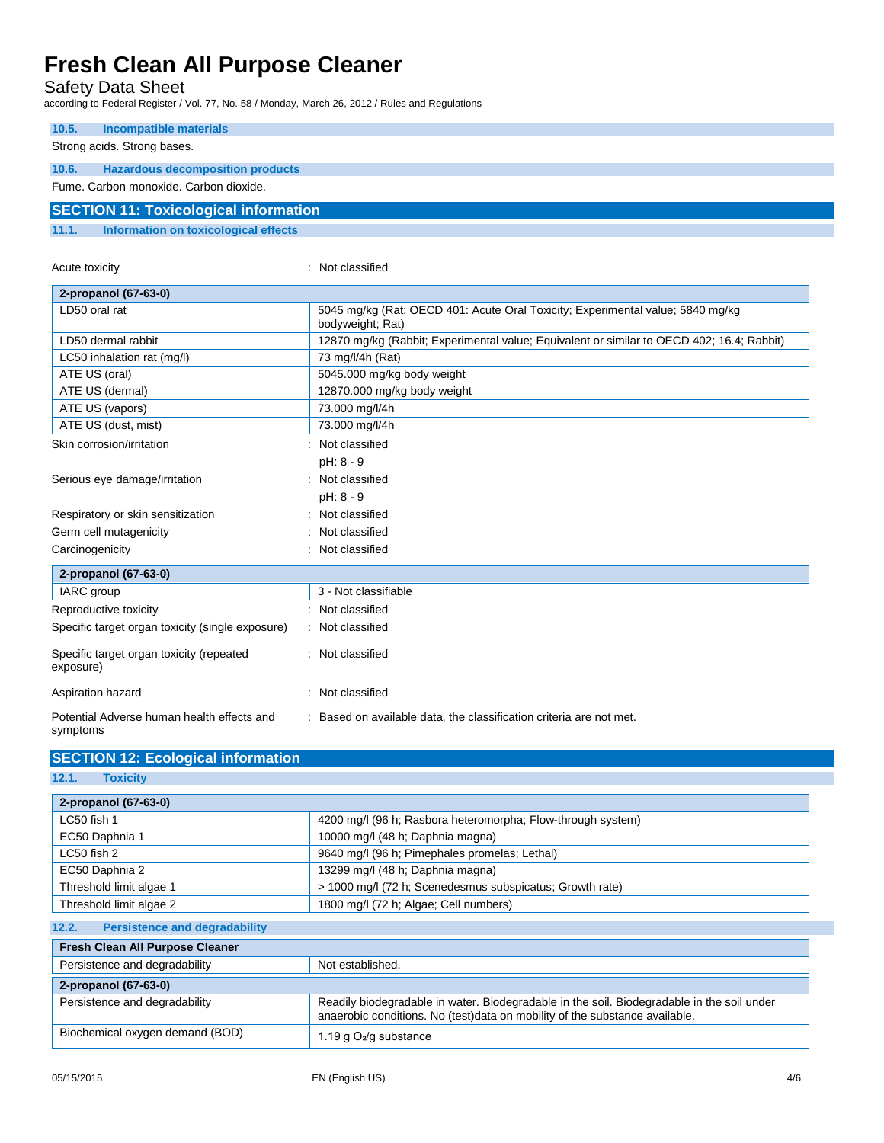Acute toxicity **in the case of the Case of the Case of the Case of the Case of the Case of the Case of the Case of the Case of the Case of the Case of the Case of the Case of the Case of the Case of the Case of the Case of** 

**SECTION 12: Ecological information**

Safety Data Sheet

according to Federal Register / Vol. 77, No. 58 / Monday, March 26, 2012 / Rules and Regulations

| 10.5. | Incompatible materials                       |
|-------|----------------------------------------------|
|       | Strong acids. Strong bases.                  |
| 10.6. | <b>Hazardous decomposition products</b>      |
|       | Fume, Carbon monoxide, Carbon dioxide.       |
|       | <b>SECTION 11: Toxicological information</b> |
|       |                                              |
| 11.1. | Information on toxicological effects         |

| 2-propanol (67-63-0)                                   |                                                                                                    |
|--------------------------------------------------------|----------------------------------------------------------------------------------------------------|
| LD50 oral rat                                          | 5045 mg/kg (Rat; OECD 401: Acute Oral Toxicity; Experimental value; 5840 mg/kg<br>bodyweight; Rat) |
| LD50 dermal rabbit                                     | 12870 mg/kg (Rabbit; Experimental value; Equivalent or similar to OECD 402; 16.4; Rabbit)          |
| LC50 inhalation rat (mg/l)                             | 73 mg/l/4h (Rat)                                                                                   |
| ATE US (oral)                                          | 5045.000 mg/kg body weight                                                                         |
| ATE US (dermal)                                        | 12870.000 mg/kg body weight                                                                        |
| ATE US (vapors)                                        | 73.000 mg/l/4h                                                                                     |
| ATE US (dust, mist)                                    | 73.000 mg/l/4h                                                                                     |
| Skin corrosion/irritation                              | : Not classified                                                                                   |
|                                                        | pH: 8 - 9                                                                                          |
| Serious eye damage/irritation                          | Not classified                                                                                     |
|                                                        | $pH: 8 - 9$                                                                                        |
| Respiratory or skin sensitization                      | Not classified                                                                                     |
| Germ cell mutagenicity                                 | Not classified                                                                                     |
| Carcinogenicity                                        | : Not classified                                                                                   |
| 2-propanol (67-63-0)                                   |                                                                                                    |
| IARC group                                             | 3 - Not classifiable                                                                               |
| Reproductive toxicity                                  | Not classified                                                                                     |
| Specific target organ toxicity (single exposure)       | : Not classified                                                                                   |
| Specific target organ toxicity (repeated<br>exposure)  | : Not classified                                                                                   |
| Aspiration hazard                                      | : Not classified                                                                                   |
| Potential Adverse human health effects and<br>symptoms | : Based on available data, the classification criteria are not met.                                |

| 4200 mg/l (96 h; Rasbora heteromorpha; Flow-through system)                                                                                                               |
|---------------------------------------------------------------------------------------------------------------------------------------------------------------------------|
| 10000 mg/l (48 h; Daphnia magna)                                                                                                                                          |
| 9640 mg/l (96 h; Pimephales promelas; Lethal)                                                                                                                             |
| 13299 mg/l (48 h; Daphnia magna)                                                                                                                                          |
| > 1000 mg/l (72 h; Scenedesmus subspicatus; Growth rate)                                                                                                                  |
| 1800 mg/l (72 h; Algae; Cell numbers)                                                                                                                                     |
|                                                                                                                                                                           |
|                                                                                                                                                                           |
| Not established.                                                                                                                                                          |
|                                                                                                                                                                           |
| Readily biodegradable in water. Biodegradable in the soil. Biodegradable in the soil under<br>anaerobic conditions. No (test)data on mobility of the substance available. |
| 1.19 g $O_2$ /g substance                                                                                                                                                 |
|                                                                                                                                                                           |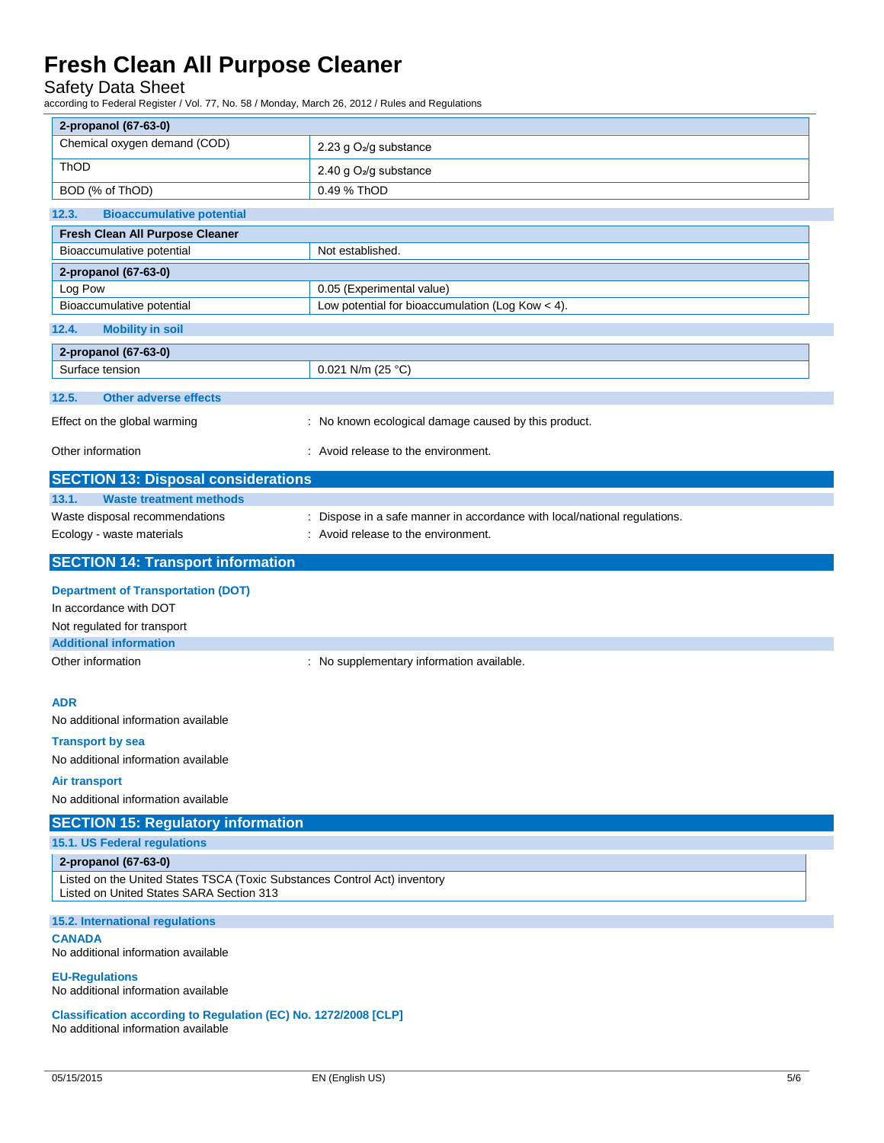### Safety Data Sheet

according to Federal Register / Vol. 77, No. 58 / Monday, March 26, 2012 / Rules and Regulations

| 2-propanol (67-63-0)                                                                                                  |                                                                           |
|-----------------------------------------------------------------------------------------------------------------------|---------------------------------------------------------------------------|
| Chemical oxygen demand (COD)                                                                                          | 2.23 g O <sub>2</sub> /g substance                                        |
| ThOD                                                                                                                  | 2.40 g O <sub>2</sub> /g substance                                        |
| BOD (% of ThOD)                                                                                                       | 0.49 % ThOD                                                               |
| 12.3.<br><b>Bioaccumulative potential</b>                                                                             |                                                                           |
| Fresh Clean All Purpose Cleaner                                                                                       |                                                                           |
| Bioaccumulative potential                                                                                             | Not established.                                                          |
| 2-propanol (67-63-0)                                                                                                  |                                                                           |
| Log Pow                                                                                                               | 0.05 (Experimental value)                                                 |
| Bioaccumulative potential                                                                                             | Low potential for bioaccumulation (Log Kow $<$ 4).                        |
| 12.4.<br><b>Mobility in soil</b>                                                                                      |                                                                           |
| 2-propanol (67-63-0)                                                                                                  |                                                                           |
| Surface tension                                                                                                       | 0.021 N/m (25 °C)                                                         |
| 12.5.<br><b>Other adverse effects</b>                                                                                 |                                                                           |
| Effect on the global warming                                                                                          | : No known ecological damage caused by this product.                      |
|                                                                                                                       |                                                                           |
| Other information                                                                                                     | : Avoid release to the environment.                                       |
| <b>SECTION 13: Disposal considerations</b>                                                                            |                                                                           |
| 13.1.<br><b>Waste treatment methods</b>                                                                               |                                                                           |
| Waste disposal recommendations                                                                                        | : Dispose in a safe manner in accordance with local/national regulations. |
| Ecology - waste materials                                                                                             | : Avoid release to the environment.                                       |
| <b>SECTION 14: Transport information</b>                                                                              |                                                                           |
|                                                                                                                       |                                                                           |
| <b>Department of Transportation (DOT)</b><br>In accordance with DOT                                                   |                                                                           |
| Not regulated for transport                                                                                           |                                                                           |
| <b>Additional information</b>                                                                                         |                                                                           |
| Other information                                                                                                     | : No supplementary information available.                                 |
|                                                                                                                       |                                                                           |
| <b>ADR</b>                                                                                                            |                                                                           |
| No additional information available                                                                                   |                                                                           |
| <b>Transport by sea</b>                                                                                               |                                                                           |
| No additional information available                                                                                   |                                                                           |
| Air transport                                                                                                         |                                                                           |
| No additional information available                                                                                   |                                                                           |
| <b>SECTION 15: Regulatory information</b>                                                                             |                                                                           |
| 15.1. US Federal regulations                                                                                          |                                                                           |
| 2-propanol (67-63-0)                                                                                                  |                                                                           |
| Listed on the United States TSCA (Toxic Substances Control Act) inventory<br>Listed on United States SARA Section 313 |                                                                           |
| 15.2. International regulations                                                                                       |                                                                           |
| <b>CANADA</b><br>No additional information available                                                                  |                                                                           |
| <b>EU-Regulations</b><br>No additional information available                                                          |                                                                           |
| Classification according to Regulation (EC) No. 1272/2008 [CLP]<br>No additional information available                |                                                                           |